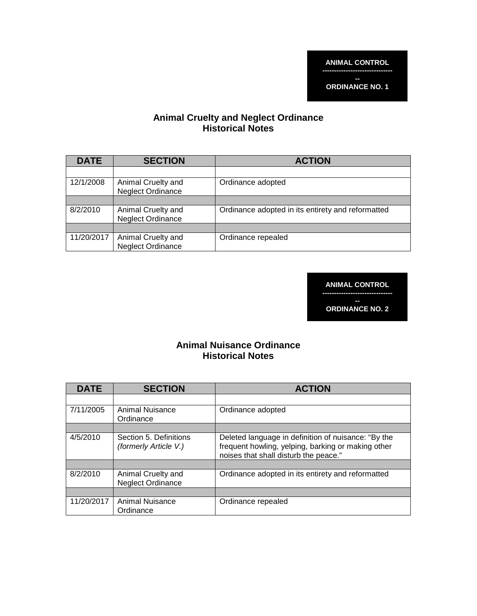**ANIMAL CONTROL** 

**------------------------------ --** 

**ORDINANCE NO. 1** 

#### **Animal Cruelty and Neglect Ordinance Historical Notes**

| <b>DATE</b> | <b>SECTION</b>                                 | <b>ACTION</b>                                     |
|-------------|------------------------------------------------|---------------------------------------------------|
|             |                                                |                                                   |
| 12/1/2008   | Animal Cruelty and<br><b>Neglect Ordinance</b> | Ordinance adopted                                 |
|             |                                                |                                                   |
| 8/2/2010    | Animal Cruelty and<br><b>Neglect Ordinance</b> | Ordinance adopted in its entirety and reformatted |
|             |                                                |                                                   |
| 11/20/2017  | Animal Cruelty and<br><b>Neglect Ordinance</b> | Ordinance repealed                                |

**ANIMAL CONTROL ------------------------------** 

**-- ORDINANCE NO. 2** 

# **Animal Nuisance Ordinance Historical Notes**

| <b>DATE</b> | <b>SECTION</b>                                  | <b>ACTION</b>                                                                                                                                      |
|-------------|-------------------------------------------------|----------------------------------------------------------------------------------------------------------------------------------------------------|
|             |                                                 |                                                                                                                                                    |
| 7/11/2005   | Animal Nuisance<br>Ordinance                    | Ordinance adopted                                                                                                                                  |
|             |                                                 |                                                                                                                                                    |
| 4/5/2010    | Section 5. Definitions<br>(formerly Article V.) | Deleted language in definition of nuisance: "By the<br>frequent howling, yelping, barking or making other<br>noises that shall disturb the peace." |
|             |                                                 |                                                                                                                                                    |
| 8/2/2010    | Animal Cruelty and<br><b>Neglect Ordinance</b>  | Ordinance adopted in its entirety and reformatted                                                                                                  |
|             |                                                 |                                                                                                                                                    |
| 11/20/2017  | Animal Nuisance<br>Ordinance                    | Ordinance repealed                                                                                                                                 |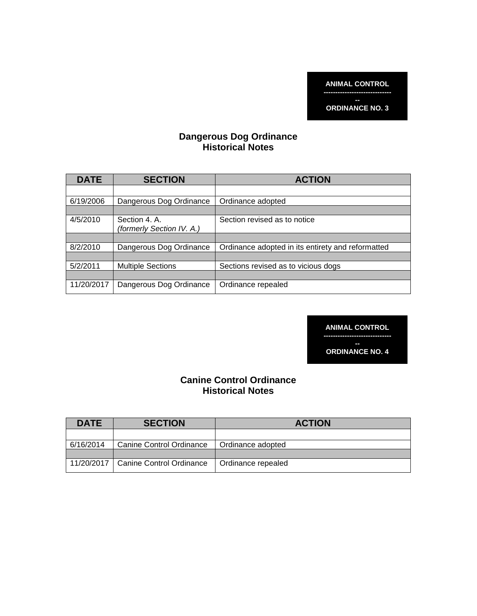**ANIMAL CONTROL -----------------------------** 

**ORDINANCE NO. 3** 

### **Dangerous Dog Ordinance Historical Notes**

| <b>DATE</b> | <b>SECTION</b>                             | <b>ACTION</b>                                     |
|-------------|--------------------------------------------|---------------------------------------------------|
|             |                                            |                                                   |
| 6/19/2006   | Dangerous Dog Ordinance                    | Ordinance adopted                                 |
|             |                                            |                                                   |
| 4/5/2010    | Section 4. A.<br>(formerly Section IV. A.) | Section revised as to notice                      |
|             |                                            |                                                   |
| 8/2/2010    | Dangerous Dog Ordinance                    | Ordinance adopted in its entirety and reformatted |
|             |                                            |                                                   |
| 5/2/2011    | <b>Multiple Sections</b>                   | Sections revised as to vicious dogs               |
|             |                                            |                                                   |
| 11/20/2017  | Dangerous Dog Ordinance                    | Ordinance repealed                                |

#### **ANIMAL CONTROL -----------------------------**

**-- ORDINANCE NO. 4** 

## **Canine Control Ordinance Historical Notes**

| <b>DATE</b> | <b>SECTION</b>                        | <b>ACTION</b>      |
|-------------|---------------------------------------|--------------------|
|             |                                       |                    |
| 6/16/2014   | <b>Canine Control Ordinance</b>       | Ordinance adopted  |
|             |                                       |                    |
|             | 11/20/2017   Canine Control Ordinance | Ordinance repealed |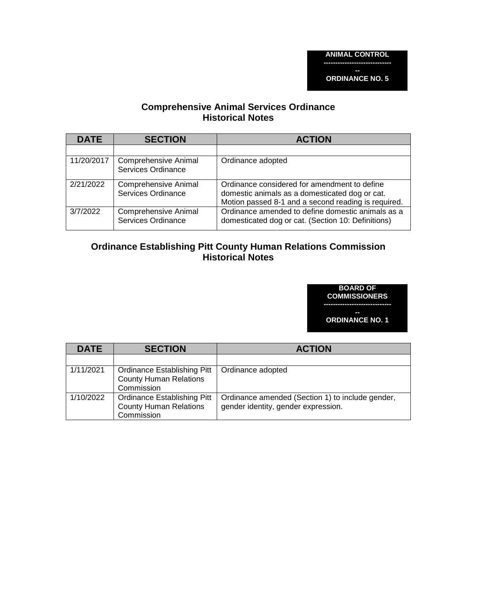**ANIMAL CONTROL -----------------------------** 

**-- ORDINANCE NO. 5** 

# **Comprehensive Animal Services Ordinance Historical Notes**

| <b>DATE</b> | <b>SECTION</b>                                    | <b>ACTION</b>                                                                                                                                         |
|-------------|---------------------------------------------------|-------------------------------------------------------------------------------------------------------------------------------------------------------|
|             |                                                   |                                                                                                                                                       |
| 11/20/2017  | <b>Comprehensive Animal</b><br>Services Ordinance | Ordinance adopted                                                                                                                                     |
| 2/21/2022   | <b>Comprehensive Animal</b><br>Services Ordinance | Ordinance considered for amendment to define<br>domestic animals as a domesticated dog or cat.<br>Motion passed 8-1 and a second reading is required. |
| 3/7/2022    | <b>Comprehensive Animal</b><br>Services Ordinance | Ordinance amended to define domestic animals as a<br>domesticated dog or cat. (Section 10: Definitions)                                               |

# **Ordinance Establishing Pitt County Human Relations Commission Historical Notes**

**BOARD OF COMMISSIONERS -----------------------------** 

**-- ORDINANCE NO. 1** 

| <b>DATE</b> | <b>SECTION</b>                                                                    | <b>ACTION</b>                                                                           |
|-------------|-----------------------------------------------------------------------------------|-----------------------------------------------------------------------------------------|
|             |                                                                                   |                                                                                         |
| 1/11/2021   | <b>Ordinance Establishing Pitt</b><br><b>County Human Relations</b><br>Commission | Ordinance adopted                                                                       |
| 1/10/2022   | Ordinance Establishing Pitt<br><b>County Human Relations</b><br>Commission        | Ordinance amended (Section 1) to include gender,<br>gender identity, gender expression. |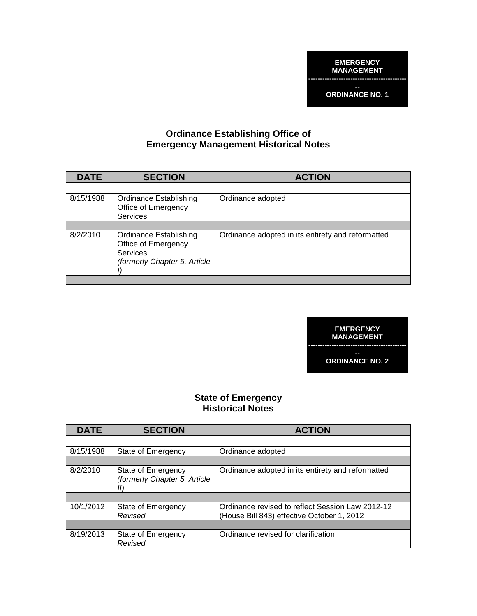

## **Ordinance Establishing Office of Emergency Management Historical Notes**

| <b>DATE</b> | <b>SECTION</b>                                                                                   | <b>ACTION</b>                                     |
|-------------|--------------------------------------------------------------------------------------------------|---------------------------------------------------|
|             |                                                                                                  |                                                   |
| 8/15/1988   | Ordinance Establishing<br>Office of Emergency<br><b>Services</b>                                 | Ordinance adopted                                 |
|             |                                                                                                  |                                                   |
| 8/2/2010    | Ordinance Establishing<br>Office of Emergency<br><b>Services</b><br>(formerly Chapter 5, Article | Ordinance adopted in its entirety and reformatted |
|             |                                                                                                  |                                                   |



## **State of Emergency Historical Notes**

| <b>DATE</b> | <b>SECTION</b>                                            | <b>ACTION</b>                                                                                  |
|-------------|-----------------------------------------------------------|------------------------------------------------------------------------------------------------|
|             |                                                           |                                                                                                |
| 8/15/1988   | State of Emergency                                        | Ordinance adopted                                                                              |
|             |                                                           |                                                                                                |
| 8/2/2010    | State of Emergency<br>(formerly Chapter 5, Article<br>II) | Ordinance adopted in its entirety and reformatted                                              |
|             |                                                           |                                                                                                |
| 10/1/2012   | State of Emergency<br>Revised                             | Ordinance revised to reflect Session Law 2012-12<br>(House Bill 843) effective October 1, 2012 |
|             |                                                           |                                                                                                |
| 8/19/2013   | State of Emergency<br>Revised                             | Ordinance revised for clarification                                                            |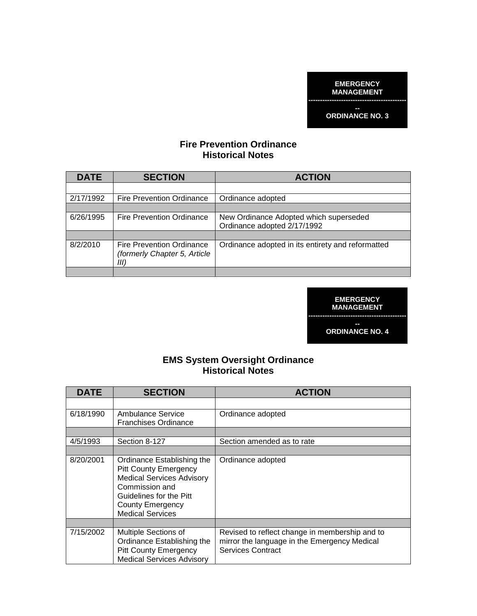

## **Fire Prevention Ordinance Historical Notes**

| <b>DATE</b> | <b>SECTION</b>                                                           | <b>ACTION</b>                                     |
|-------------|--------------------------------------------------------------------------|---------------------------------------------------|
|             |                                                                          |                                                   |
| 2/17/1992   | <b>Fire Prevention Ordinance</b>                                         | Ordinance adopted                                 |
|             |                                                                          |                                                   |
| 6/26/1995   | <b>Fire Prevention Ordinance</b>                                         | New Ordinance Adopted which superseded            |
|             |                                                                          | Ordinance adopted 2/17/1992                       |
|             |                                                                          |                                                   |
| 8/2/2010    | <b>Fire Prevention Ordinance</b><br>(formerly Chapter 5, Article<br>III) | Ordinance adopted in its entirety and reformatted |
|             |                                                                          |                                                   |



## **EMS System Oversight Ordinance Historical Notes**

| <b>DATE</b> | <b>SECTION</b>                                                                                                                                                                                    | <b>ACTION</b>                                                                                                              |
|-------------|---------------------------------------------------------------------------------------------------------------------------------------------------------------------------------------------------|----------------------------------------------------------------------------------------------------------------------------|
|             |                                                                                                                                                                                                   |                                                                                                                            |
| 6/18/1990   | Ambulance Service<br><b>Franchises Ordinance</b>                                                                                                                                                  | Ordinance adopted                                                                                                          |
|             |                                                                                                                                                                                                   |                                                                                                                            |
| 4/5/1993    | Section 8-127                                                                                                                                                                                     | Section amended as to rate                                                                                                 |
|             |                                                                                                                                                                                                   |                                                                                                                            |
| 8/20/2001   | Ordinance Establishing the<br><b>Pitt County Emergency</b><br><b>Medical Services Advisory</b><br>Commission and<br>Guidelines for the Pitt<br><b>County Emergency</b><br><b>Medical Services</b> | Ordinance adopted                                                                                                          |
|             |                                                                                                                                                                                                   |                                                                                                                            |
| 7/15/2002   | Multiple Sections of<br>Ordinance Establishing the<br><b>Pitt County Emergency</b><br><b>Medical Services Advisory</b>                                                                            | Revised to reflect change in membership and to<br>mirror the language in the Emergency Medical<br><b>Services Contract</b> |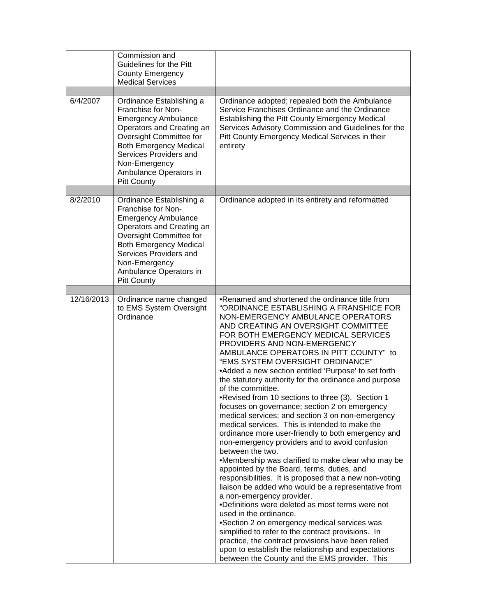|            | Commission and<br>Guidelines for the Pitt<br><b>County Emergency</b><br><b>Medical Services</b>                                                                                                                                                                  |                                                                                                                                                                                                                                                                                                                                                                                                                                                                                                                                                                                                                                                                                                                                                                                                                                                                                                                                                                                                                                                                                                                                                                                                                                                                                                                                                                                                              |
|------------|------------------------------------------------------------------------------------------------------------------------------------------------------------------------------------------------------------------------------------------------------------------|--------------------------------------------------------------------------------------------------------------------------------------------------------------------------------------------------------------------------------------------------------------------------------------------------------------------------------------------------------------------------------------------------------------------------------------------------------------------------------------------------------------------------------------------------------------------------------------------------------------------------------------------------------------------------------------------------------------------------------------------------------------------------------------------------------------------------------------------------------------------------------------------------------------------------------------------------------------------------------------------------------------------------------------------------------------------------------------------------------------------------------------------------------------------------------------------------------------------------------------------------------------------------------------------------------------------------------------------------------------------------------------------------------------|
| 6/4/2007   | Ordinance Establishing a<br>Franchise for Non-<br><b>Emergency Ambulance</b><br>Operators and Creating an<br>Oversight Committee for<br><b>Both Emergency Medical</b><br>Services Providers and<br>Non-Emergency<br>Ambulance Operators in<br><b>Pitt County</b> | Ordinance adopted; repealed both the Ambulance<br>Service Franchises Ordinance and the Ordinance<br>Establishing the Pitt County Emergency Medical<br>Services Advisory Commission and Guidelines for the<br>Pitt County Emergency Medical Services in their<br>entirety                                                                                                                                                                                                                                                                                                                                                                                                                                                                                                                                                                                                                                                                                                                                                                                                                                                                                                                                                                                                                                                                                                                                     |
| 8/2/2010   | Ordinance Establishing a<br>Franchise for Non-<br><b>Emergency Ambulance</b><br>Operators and Creating an<br>Oversight Committee for<br><b>Both Emergency Medical</b><br>Services Providers and<br>Non-Emergency<br>Ambulance Operators in<br><b>Pitt County</b> | Ordinance adopted in its entirety and reformatted                                                                                                                                                                                                                                                                                                                                                                                                                                                                                                                                                                                                                                                                                                                                                                                                                                                                                                                                                                                                                                                                                                                                                                                                                                                                                                                                                            |
|            |                                                                                                                                                                                                                                                                  |                                                                                                                                                                                                                                                                                                                                                                                                                                                                                                                                                                                                                                                                                                                                                                                                                                                                                                                                                                                                                                                                                                                                                                                                                                                                                                                                                                                                              |
| 12/16/2013 | Ordinance name changed<br>to EMS System Oversight<br>Ordinance                                                                                                                                                                                                   | .Renamed and shortened the ordinance title from<br>"ORDINANCE ESTABLISHING A FRANSHICE FOR<br>NON-EMERGENCY AMBULANCE OPERATORS<br>AND CREATING AN OVERSIGHT COMMITTEE<br>FOR BOTH EMERGENCY MEDICAL SERVICES<br>PROVIDERS AND NON-EMERGENCY<br>AMBULANCE OPERATORS IN PITT COUNTY" to<br>"EMS SYSTEM OVERSIGHT ORDINANCE"<br>•Added a new section entitled 'Purpose' to set forth<br>the statutory authority for the ordinance and purpose<br>of the committee.<br>•Revised from 10 sections to three (3). Section 1<br>focuses on governance; section 2 on emergency<br>medical services; and section 3 on non-emergency<br>medical services. This is intended to make the<br>ordinance more user-friendly to both emergency and<br>non-emergency providers and to avoid confusion<br>between the two.<br>•Membership was clarified to make clear who may be<br>appointed by the Board, terms, duties, and<br>responsibilities. It is proposed that a new non-voting<br>liaison be added who would be a representative from<br>a non-emergency provider.<br>•Definitions were deleted as most terms were not<br>used in the ordinance.<br>•Section 2 on emergency medical services was<br>simplified to refer to the contract provisions. In<br>practice, the contract provisions have been relied<br>upon to establish the relationship and expectations<br>between the County and the EMS provider. This |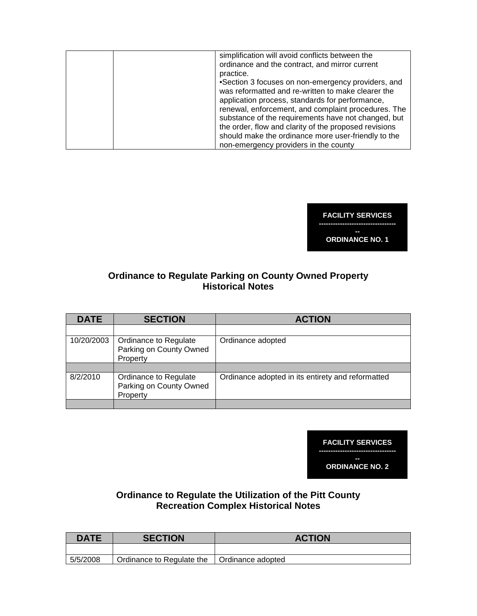| simplification will avoid conflicts between the       |
|-------------------------------------------------------|
| ordinance and the contract, and mirror current        |
| practice.                                             |
|                                                       |
| •Section 3 focuses on non-emergency providers, and    |
| was reformatted and re-written to make clearer the    |
|                                                       |
| application process, standards for performance,       |
| renewal, enforcement, and complaint procedures. The   |
|                                                       |
| substance of the requirements have not changed, but   |
| the order, flow and clarity of the proposed revisions |
|                                                       |
| should make the ordinance more user-friendly to the   |
| non-emergency providers in the county                 |
|                                                       |

**FACILITY SERVICES ---------------------------------** 

**-- ORDINANCE NO. 1** 

# **Ordinance to Regulate Parking on County Owned Property Historical Notes**

| <b>DATE</b> | <b>SECTION</b>                                               | <b>ACTION</b>                                     |
|-------------|--------------------------------------------------------------|---------------------------------------------------|
|             |                                                              |                                                   |
| 10/20/2003  | Ordinance to Regulate<br>Parking on County Owned<br>Property | Ordinance adopted                                 |
|             |                                                              |                                                   |
| 8/2/2010    | Ordinance to Regulate<br>Parking on County Owned<br>Property | Ordinance adopted in its entirety and reformatted |
|             |                                                              |                                                   |



# **Ordinance to Regulate the Utilization of the Pitt County Recreation Complex Historical Notes**

| <b>DATE</b> | <b>SECTION</b>            | <b>ACTION</b>     |
|-------------|---------------------------|-------------------|
|             |                           |                   |
| 5/5/2008    | Ordinance to Regulate the | Ordinance adopted |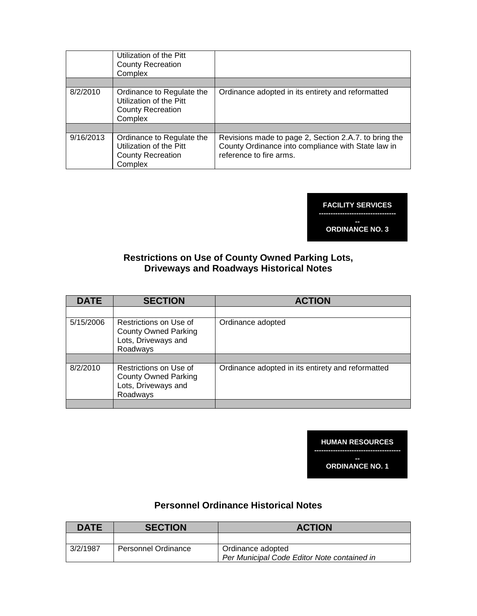|           | Utilization of the Pitt<br><b>County Recreation</b><br>Complex                              |                                                                                                                                        |
|-----------|---------------------------------------------------------------------------------------------|----------------------------------------------------------------------------------------------------------------------------------------|
|           |                                                                                             |                                                                                                                                        |
| 8/2/2010  | Ordinance to Regulate the<br>Utilization of the Pitt<br><b>County Recreation</b><br>Complex | Ordinance adopted in its entirety and reformatted                                                                                      |
|           |                                                                                             |                                                                                                                                        |
| 9/16/2013 | Ordinance to Regulate the<br>Utilization of the Pitt<br><b>County Recreation</b><br>Complex | Revisions made to page 2, Section 2.A.7. to bring the<br>County Ordinance into compliance with State law in<br>reference to fire arms. |

**FACILITY SERVICES ---------------------------------** 

**-- ORDINANCE NO. 3** 

# **Restrictions on Use of County Owned Parking Lots, Driveways and Roadways Historical Notes**

| <b>DATE</b> | <b>SECTION</b>                                                                           | <b>ACTION</b>                                     |
|-------------|------------------------------------------------------------------------------------------|---------------------------------------------------|
|             |                                                                                          |                                                   |
| 5/15/2006   | Restrictions on Use of<br><b>County Owned Parking</b><br>Lots, Driveways and<br>Roadways | Ordinance adopted                                 |
|             |                                                                                          |                                                   |
| 8/2/2010    | Restrictions on Use of<br><b>County Owned Parking</b><br>Lots, Driveways and<br>Roadways | Ordinance adopted in its entirety and reformatted |
|             |                                                                                          |                                                   |

| <b>HUMAN RESOURCES</b>                                               |  |
|----------------------------------------------------------------------|--|
| ------------------------------------<br>--<br><b>ORDINANCE NO. 1</b> |  |

# **Personnel Ordinance Historical Notes**

| <b>DATE</b> | <b>SECTION</b>      | <b>ACTION</b>                                                    |
|-------------|---------------------|------------------------------------------------------------------|
|             |                     |                                                                  |
| 3/2/1987    | Personnel Ordinance | Ordinance adopted<br>Per Municipal Code Editor Note contained in |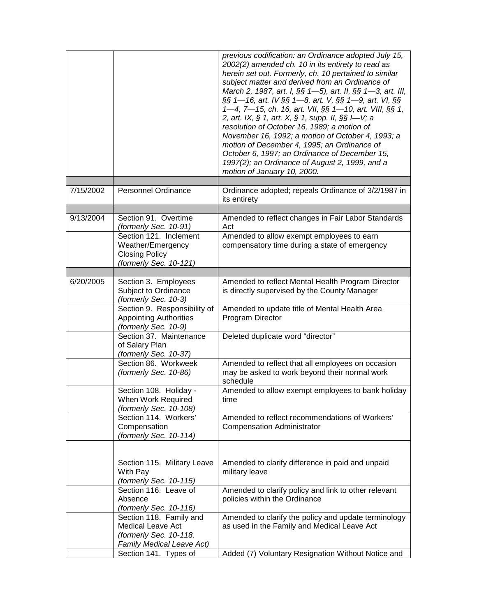|           |                                                                                                            | previous codification: an Ordinance adopted July 15,<br>2002(2) amended ch. 10 in its entirety to read as<br>herein set out. Formerly, ch. 10 pertained to similar<br>subject matter and derived from an Ordinance of<br>March 2, 1987, art. I, §§ 1-5), art. II, §§ 1-3, art. III,<br>§§ 1—16, art. IV §§ 1—8, art. V, §§ 1—9, art. VI, §§<br>1-4, 7-15, ch. 16, art. VII, §§ 1-10, art. VIII, §§ 1,<br>2, art. IX, § 1, art. X, § 1, supp. II, §§ I-V; a<br>resolution of October 16, 1989; a motion of<br>November 16, 1992; a motion of October 4, 1993; a<br>motion of December 4, 1995; an Ordinance of<br>October 6, 1997; an Ordinance of December 15,<br>1997(2); an Ordinance of August 2, 1999, and a<br>motion of January 10, 2000. |
|-----------|------------------------------------------------------------------------------------------------------------|-------------------------------------------------------------------------------------------------------------------------------------------------------------------------------------------------------------------------------------------------------------------------------------------------------------------------------------------------------------------------------------------------------------------------------------------------------------------------------------------------------------------------------------------------------------------------------------------------------------------------------------------------------------------------------------------------------------------------------------------------|
|           |                                                                                                            |                                                                                                                                                                                                                                                                                                                                                                                                                                                                                                                                                                                                                                                                                                                                                 |
| 7/15/2002 | <b>Personnel Ordinance</b>                                                                                 | Ordinance adopted; repeals Ordinance of 3/2/1987 in<br>its entirety                                                                                                                                                                                                                                                                                                                                                                                                                                                                                                                                                                                                                                                                             |
|           | Section 91. Overtime                                                                                       |                                                                                                                                                                                                                                                                                                                                                                                                                                                                                                                                                                                                                                                                                                                                                 |
| 9/13/2004 |                                                                                                            | Amended to reflect changes in Fair Labor Standards                                                                                                                                                                                                                                                                                                                                                                                                                                                                                                                                                                                                                                                                                              |
|           | (formerly Sec. 10-91)<br>Section 121. Inclement                                                            | Act<br>Amended to allow exempt employees to earn                                                                                                                                                                                                                                                                                                                                                                                                                                                                                                                                                                                                                                                                                                |
|           | Weather/Emergency<br><b>Closing Policy</b><br>(formerly Sec. 10-121)                                       | compensatory time during a state of emergency                                                                                                                                                                                                                                                                                                                                                                                                                                                                                                                                                                                                                                                                                                   |
|           |                                                                                                            |                                                                                                                                                                                                                                                                                                                                                                                                                                                                                                                                                                                                                                                                                                                                                 |
| 6/20/2005 | Section 3. Employees<br>Subject to Ordinance<br>(formerly Sec. 10-3)                                       | Amended to reflect Mental Health Program Director<br>is directly supervised by the County Manager                                                                                                                                                                                                                                                                                                                                                                                                                                                                                                                                                                                                                                               |
|           | Section 9. Responsibility of<br><b>Appointing Authorities</b><br>(formerly Sec. 10-9)                      | Amended to update title of Mental Health Area<br>Program Director                                                                                                                                                                                                                                                                                                                                                                                                                                                                                                                                                                                                                                                                               |
|           | Section 37. Maintenance<br>of Salary Plan<br>(formerly Sec. 10-37)                                         | Deleted duplicate word "director"                                                                                                                                                                                                                                                                                                                                                                                                                                                                                                                                                                                                                                                                                                               |
|           | Section 86. Workweek<br>(formerly Sec. 10-86)                                                              | Amended to reflect that all employees on occasion<br>may be asked to work beyond their normal work<br>schedule                                                                                                                                                                                                                                                                                                                                                                                                                                                                                                                                                                                                                                  |
|           | Section 108. Holiday -<br>When Work Required<br>(formerly Sec. 10-108)                                     | Amended to allow exempt employees to bank holiday<br>time                                                                                                                                                                                                                                                                                                                                                                                                                                                                                                                                                                                                                                                                                       |
|           | Section 114. Workers'<br>Compensation<br>(formerly Sec. 10-114)                                            | Amended to reflect recommendations of Workers'<br><b>Compensation Administrator</b>                                                                                                                                                                                                                                                                                                                                                                                                                                                                                                                                                                                                                                                             |
|           | Section 115. Military Leave<br>With Pay<br>(formerly Sec. 10-115)                                          | Amended to clarify difference in paid and unpaid<br>military leave                                                                                                                                                                                                                                                                                                                                                                                                                                                                                                                                                                                                                                                                              |
|           | Section 116. Leave of<br>Absence<br>(formerly Sec. 10-116)                                                 | Amended to clarify policy and link to other relevant<br>policies within the Ordinance                                                                                                                                                                                                                                                                                                                                                                                                                                                                                                                                                                                                                                                           |
|           | Section 118. Family and<br><b>Medical Leave Act</b><br>(formerly Sec. 10-118.<br>Family Medical Leave Act) | Amended to clarify the policy and update terminology<br>as used in the Family and Medical Leave Act                                                                                                                                                                                                                                                                                                                                                                                                                                                                                                                                                                                                                                             |
|           | Section 141. Types of                                                                                      | Added (7) Voluntary Resignation Without Notice and                                                                                                                                                                                                                                                                                                                                                                                                                                                                                                                                                                                                                                                                                              |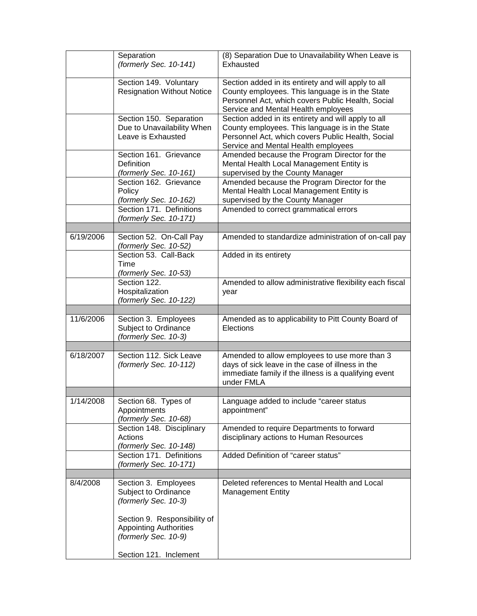|           | Separation<br>(formerly Sec. 10-141)                                                  | (8) Separation Due to Unavailability When Leave is<br>Exhausted                                                                                                                                    |
|-----------|---------------------------------------------------------------------------------------|----------------------------------------------------------------------------------------------------------------------------------------------------------------------------------------------------|
|           | Section 149. Voluntary<br><b>Resignation Without Notice</b>                           | Section added in its entirety and will apply to all<br>County employees. This language is in the State<br>Personnel Act, which covers Public Health, Social<br>Service and Mental Health employees |
|           | Section 150. Separation<br>Due to Unavailability When<br>Leave is Exhausted           | Section added in its entirety and will apply to all<br>County employees. This language is in the State<br>Personnel Act, which covers Public Health, Social<br>Service and Mental Health employees |
|           | Section 161. Grievance<br>Definition<br>(formerly Sec. 10-161)                        | Amended because the Program Director for the<br>Mental Health Local Management Entity is<br>supervised by the County Manager                                                                       |
|           | Section 162. Grievance<br>Policy<br>(formerly Sec. 10-162)                            | Amended because the Program Director for the<br>Mental Health Local Management Entity is<br>supervised by the County Manager                                                                       |
|           | Section 171. Definitions<br>(formerly Sec. 10-171)                                    | Amended to correct grammatical errors                                                                                                                                                              |
| 6/19/2006 | Section 52. On-Call Pay<br>(formerly Sec. 10-52)                                      | Amended to standardize administration of on-call pay                                                                                                                                               |
|           | Section 53. Call-Back<br>Time<br>(formerly Sec. 10-53)                                | Added in its entirety                                                                                                                                                                              |
|           | Section 122.<br>Hospitalization<br>(formerly Sec. 10-122)                             | Amended to allow administrative flexibility each fiscal<br>year                                                                                                                                    |
|           |                                                                                       |                                                                                                                                                                                                    |
|           |                                                                                       |                                                                                                                                                                                                    |
| 11/6/2006 | Section 3. Employees<br>Subject to Ordinance<br>(formerly Sec. 10-3)                  | Amended as to applicability to Pitt County Board of<br>Elections                                                                                                                                   |
| 6/18/2007 | Section 112. Sick Leave<br>(formerly Sec. 10-112)                                     | Amended to allow employees to use more than 3<br>days of sick leave in the case of illness in the<br>immediate family if the illness is a qualifying event<br>under FMLA                           |
|           |                                                                                       |                                                                                                                                                                                                    |
| 1/14/2008 | Section 68. Types of<br>Appointments<br>(formerly Sec. 10-68)                         | Language added to include "career status<br>appointment"                                                                                                                                           |
|           | Section 148. Disciplinary<br>Actions                                                  | Amended to require Departments to forward<br>disciplinary actions to Human Resources                                                                                                               |
|           | (formerly Sec. 10-148)<br>Section 171. Definitions<br>(formerly Sec. 10-171)          | Added Definition of "career status"                                                                                                                                                                |
| 8/4/2008  | Section 3. Employees<br>Subject to Ordinance<br>(formerly Sec. 10-3)                  | Deleted references to Mental Health and Local<br><b>Management Entity</b>                                                                                                                          |
|           | Section 9. Responsibility of<br><b>Appointing Authorities</b><br>(formerly Sec. 10-9) |                                                                                                                                                                                                    |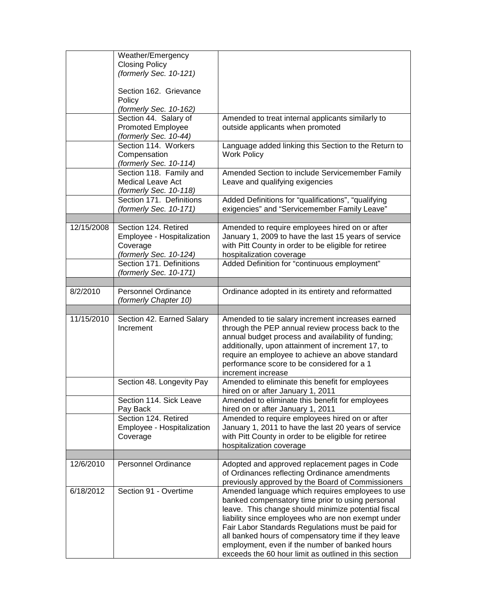|            | Weather/Emergency<br><b>Closing Policy</b><br>(formerly Sec. 10-121)<br>Section 162. Grievance<br>Policy<br>(formerly Sec. 10-162) |                                                                                                                                                                                                                                                                                                                                          |
|------------|------------------------------------------------------------------------------------------------------------------------------------|------------------------------------------------------------------------------------------------------------------------------------------------------------------------------------------------------------------------------------------------------------------------------------------------------------------------------------------|
|            | Section 44. Salary of<br>Promoted Employee<br>(formerly Sec. 10-44)                                                                | Amended to treat internal applicants similarly to<br>outside applicants when promoted                                                                                                                                                                                                                                                    |
|            | Section 114. Workers<br>Compensation<br>(formerly Sec. 10-114)                                                                     | Language added linking this Section to the Return to<br><b>Work Policy</b>                                                                                                                                                                                                                                                               |
|            | Section 118. Family and<br><b>Medical Leave Act</b><br>(formerly Sec. 10-118)                                                      | Amended Section to include Servicemember Family<br>Leave and qualifying exigencies                                                                                                                                                                                                                                                       |
|            | Section 171. Definitions<br>(formerly Sec. 10-171)                                                                                 | Added Definitions for "qualifications", "qualifying<br>exigencies" and "Servicemember Family Leave"                                                                                                                                                                                                                                      |
| 12/15/2008 | Section 124. Retired<br>Employee - Hospitalization<br>Coverage<br>(formerly Sec. 10-124)                                           | Amended to require employees hired on or after<br>January 1, 2009 to have the last 15 years of service<br>with Pitt County in order to be eligible for retiree<br>hospitalization coverage                                                                                                                                               |
|            | Section 171. Definitions<br>(formerly Sec. 10-171)                                                                                 | Added Definition for "continuous employment"                                                                                                                                                                                                                                                                                             |
|            |                                                                                                                                    |                                                                                                                                                                                                                                                                                                                                          |
| 8/2/2010   | <b>Personnel Ordinance</b><br>(formerly Chapter 10)                                                                                | Ordinance adopted in its entirety and reformatted                                                                                                                                                                                                                                                                                        |
| 11/15/2010 | Section 42. Earned Salary<br>Increment                                                                                             | Amended to tie salary increment increases earned<br>through the PEP annual review process back to the<br>annual budget process and availability of funding;<br>additionally, upon attainment of increment 17, to<br>require an employee to achieve an above standard<br>performance score to be considered for a 1<br>increment increase |
|            | Section 48. Longevity Pay                                                                                                          | Amended to eliminate this benefit for employees<br>hired on or after January 1, 2011                                                                                                                                                                                                                                                     |
|            | Section 114. Sick Leave<br>Pay Back                                                                                                | Amended to eliminate this benefit for employees<br>hired on or after January 1, 2011                                                                                                                                                                                                                                                     |
|            | Section 124. Retired<br>Employee - Hospitalization<br>Coverage                                                                     | Amended to require employees hired on or after<br>January 1, 2011 to have the last 20 years of service<br>with Pitt County in order to be eligible for retiree<br>hospitalization coverage                                                                                                                                               |
|            |                                                                                                                                    |                                                                                                                                                                                                                                                                                                                                          |
| 12/6/2010  | <b>Personnel Ordinance</b>                                                                                                         | Adopted and approved replacement pages in Code<br>of Ordinances reflecting Ordinance amendments<br>previously approved by the Board of Commissioners                                                                                                                                                                                     |
| 6/18/2012  | Section 91 - Overtime                                                                                                              | Amended language which requires employees to use<br>banked compensatory time prior to using personal<br>leave. This change should minimize potential fiscal<br>liability since employees who are non exempt under<br>Fair Labor Standards Regulations must be paid for                                                                   |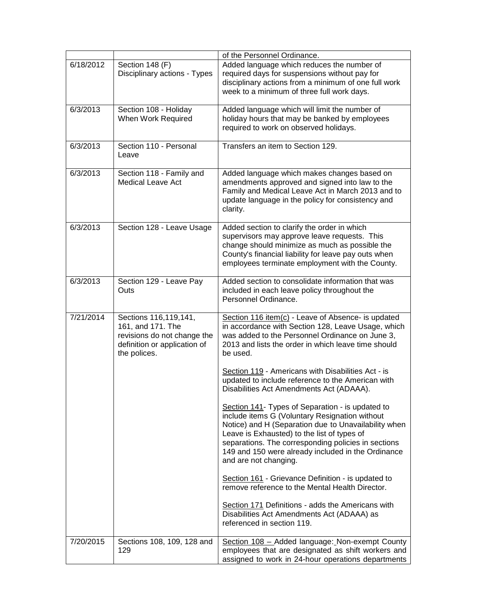|           |                                                                                                                           | of the Personnel Ordinance.                                                                                                                                                                                                                                                                                                                     |
|-----------|---------------------------------------------------------------------------------------------------------------------------|-------------------------------------------------------------------------------------------------------------------------------------------------------------------------------------------------------------------------------------------------------------------------------------------------------------------------------------------------|
| 6/18/2012 | Section 148 (F)<br>Disciplinary actions - Types                                                                           | Added language which reduces the number of<br>required days for suspensions without pay for<br>disciplinary actions from a minimum of one full work<br>week to a minimum of three full work days.                                                                                                                                               |
| 6/3/2013  | Section 108 - Holiday<br>When Work Required                                                                               | Added language which will limit the number of<br>holiday hours that may be banked by employees<br>required to work on observed holidays.                                                                                                                                                                                                        |
| 6/3/2013  | Section 110 - Personal<br>Leave                                                                                           | Transfers an item to Section 129.                                                                                                                                                                                                                                                                                                               |
| 6/3/2013  | Section 118 - Family and<br>Medical Leave Act                                                                             | Added language which makes changes based on<br>amendments approved and signed into law to the<br>Family and Medical Leave Act in March 2013 and to<br>update language in the policy for consistency and<br>clarity.                                                                                                                             |
| 6/3/2013  | Section 128 - Leave Usage                                                                                                 | Added section to clarify the order in which<br>supervisors may approve leave requests. This<br>change should minimize as much as possible the<br>County's financial liability for leave pay outs when<br>employees terminate employment with the County.                                                                                        |
| 6/3/2013  | Section 129 - Leave Pay<br>Outs                                                                                           | Added section to consolidate information that was<br>included in each leave policy throughout the<br>Personnel Ordinance.                                                                                                                                                                                                                       |
| 7/21/2014 | Sections 116,119,141,<br>161, and 171. The<br>revisions do not change the<br>definition or application of<br>the polices. | Section 116 item(c) - Leave of Absence- is updated<br>in accordance with Section 128, Leave Usage, which<br>was added to the Personnel Ordinance on June 3,<br>2013 and lists the order in which leave time should<br>be used.                                                                                                                  |
|           |                                                                                                                           | Section 119 - Americans with Disabilities Act - is<br>updated to include reference to the American with<br>Disabilities Act Amendments Act (ADAAA).                                                                                                                                                                                             |
|           |                                                                                                                           | Section 141- Types of Separation - is updated to<br>include items G (Voluntary Resignation without<br>Notice) and H (Separation due to Unavailability when<br>Leave is Exhausted) to the list of types of<br>separations. The corresponding policies in sections<br>149 and 150 were already included in the Ordinance<br>and are not changing. |
|           |                                                                                                                           | Section 161 - Grievance Definition - is updated to<br>remove reference to the Mental Health Director.                                                                                                                                                                                                                                           |
|           |                                                                                                                           | Section 171 Definitions - adds the Americans with<br>Disabilities Act Amendments Act (ADAAA) as<br>referenced in section 119.                                                                                                                                                                                                                   |
| 7/20/2015 | Sections 108, 109, 128 and<br>129                                                                                         | Section 108 - Added language: Non-exempt County<br>employees that are designated as shift workers and<br>assigned to work in 24-hour operations departments                                                                                                                                                                                     |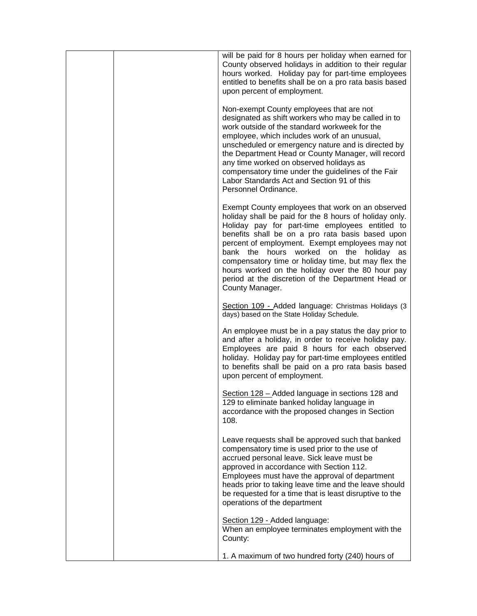| will be paid for 8 hours per holiday when earned for<br>County observed holidays in addition to their regular<br>hours worked. Holiday pay for part-time employees<br>entitled to benefits shall be on a pro rata basis based<br>upon percent of employment.                                                                                                                                                                                                                                              |
|-----------------------------------------------------------------------------------------------------------------------------------------------------------------------------------------------------------------------------------------------------------------------------------------------------------------------------------------------------------------------------------------------------------------------------------------------------------------------------------------------------------|
| Non-exempt County employees that are not<br>designated as shift workers who may be called in to<br>work outside of the standard workweek for the<br>employee, which includes work of an unusual,<br>unscheduled or emergency nature and is directed by<br>the Department Head or County Manager, will record<br>any time worked on observed holidays as<br>compensatory time under the guidelines of the Fair<br>Labor Standards Act and Section 91 of this<br>Personnel Ordinance.                       |
| Exempt County employees that work on an observed<br>holiday shall be paid for the 8 hours of holiday only.<br>Holiday pay for part-time employees entitled to<br>benefits shall be on a pro rata basis based upon<br>percent of employment. Exempt employees may not<br>bank the hours worked<br>on the<br>holiday as<br>compensatory time or holiday time, but may flex the<br>hours worked on the holiday over the 80 hour pay<br>period at the discretion of the Department Head or<br>County Manager. |
| Section 109 - Added language: Christmas Holidays (3<br>days) based on the State Holiday Schedule.                                                                                                                                                                                                                                                                                                                                                                                                         |
| An employee must be in a pay status the day prior to<br>and after a holiday, in order to receive holiday pay.<br>Employees are paid 8 hours for each observed<br>holiday. Holiday pay for part-time employees entitled<br>to benefits shall be paid on a pro rata basis based<br>upon percent of employment.                                                                                                                                                                                              |
| Section 128 – Added language in sections 128 and<br>129 to eliminate banked holiday language in<br>accordance with the proposed changes in Section<br>108.                                                                                                                                                                                                                                                                                                                                                |
| Leave requests shall be approved such that banked<br>compensatory time is used prior to the use of<br>accrued personal leave. Sick leave must be<br>approved in accordance with Section 112.<br>Employees must have the approval of department<br>heads prior to taking leave time and the leave should<br>be requested for a time that is least disruptive to the<br>operations of the department                                                                                                        |
| Section 129 - Added language:<br>When an employee terminates employment with the<br>County:                                                                                                                                                                                                                                                                                                                                                                                                               |
| 1. A maximum of two hundred forty (240) hours of                                                                                                                                                                                                                                                                                                                                                                                                                                                          |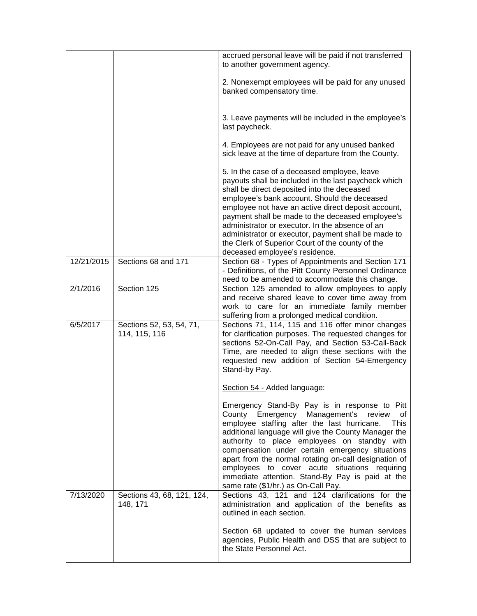|            |                                           | accrued personal leave will be paid if not transferred                                                                                                                                                                                                                                                                                                                                                                                                                                                                    |
|------------|-------------------------------------------|---------------------------------------------------------------------------------------------------------------------------------------------------------------------------------------------------------------------------------------------------------------------------------------------------------------------------------------------------------------------------------------------------------------------------------------------------------------------------------------------------------------------------|
|            |                                           | to another government agency.                                                                                                                                                                                                                                                                                                                                                                                                                                                                                             |
|            |                                           | 2. Nonexempt employees will be paid for any unused<br>banked compensatory time.                                                                                                                                                                                                                                                                                                                                                                                                                                           |
|            |                                           | 3. Leave payments will be included in the employee's<br>last paycheck.                                                                                                                                                                                                                                                                                                                                                                                                                                                    |
|            |                                           | 4. Employees are not paid for any unused banked<br>sick leave at the time of departure from the County.                                                                                                                                                                                                                                                                                                                                                                                                                   |
|            |                                           | 5. In the case of a deceased employee, leave<br>payouts shall be included in the last paycheck which<br>shall be direct deposited into the deceased<br>employee's bank account. Should the deceased<br>employee not have an active direct deposit account,<br>payment shall be made to the deceased employee's<br>administrator or executor. In the absence of an<br>administrator or executor, payment shall be made to<br>the Clerk of Superior Court of the county of the<br>deceased employee's residence.            |
| 12/21/2015 | Sections 68 and 171                       | Section 68 - Types of Appointments and Section 171<br>- Definitions, of the Pitt County Personnel Ordinance<br>need to be amended to accommodate this change.                                                                                                                                                                                                                                                                                                                                                             |
| 2/1/2016   | Section 125                               | Section 125 amended to allow employees to apply<br>and receive shared leave to cover time away from<br>work to care for an immediate family member<br>suffering from a prolonged medical condition.                                                                                                                                                                                                                                                                                                                       |
| 6/5/2017   | Sections 52, 53, 54, 71,<br>114, 115, 116 | Sections 71, 114, 115 and 116 offer minor changes<br>for clarification purposes. The requested changes for<br>sections 52-On-Call Pay, and Section 53-Call-Back<br>Time, are needed to align these sections with the<br>requested new addition of Section 54-Emergency<br>Stand-by Pay.                                                                                                                                                                                                                                   |
|            |                                           | Section 54 - Added language:                                                                                                                                                                                                                                                                                                                                                                                                                                                                                              |
|            |                                           | Emergency Stand-By Pay is in response to Pitt<br>County Emergency Management's review<br>0f<br>employee staffing after the last hurricane.<br><b>This</b><br>additional language will give the County Manager the<br>authority to place employees on standby with<br>compensation under certain emergency situations<br>apart from the normal rotating on-call designation of<br>employees to cover acute situations requiring<br>immediate attention. Stand-By Pay is paid at the<br>same rate (\$1/hr.) as On-Call Pay. |
| 7/13/2020  | Sections 43, 68, 121, 124,<br>148, 171    | Sections 43, 121 and 124 clarifications for the<br>administration and application of the benefits as<br>outlined in each section.                                                                                                                                                                                                                                                                                                                                                                                         |
|            |                                           | Section 68 updated to cover the human services<br>agencies, Public Health and DSS that are subject to<br>the State Personnel Act.                                                                                                                                                                                                                                                                                                                                                                                         |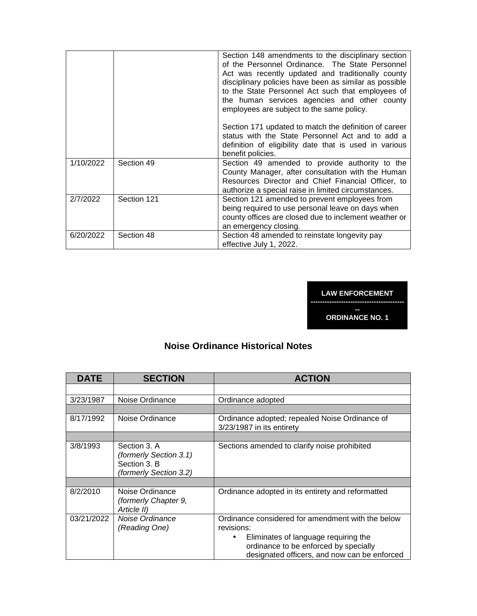|           |             | Section 148 amendments to the disciplinary section<br>of the Personnel Ordinance. The State Personnel<br>Act was recently updated and traditionally county<br>disciplinary policies have been as similar as possible<br>to the State Personnel Act such that employees of<br>the human services agencies and other county<br>employees are subject to the same policy.<br>Section 171 updated to match the definition of career<br>status with the State Personnel Act and to add a<br>definition of eligibility date that is used in various |
|-----------|-------------|-----------------------------------------------------------------------------------------------------------------------------------------------------------------------------------------------------------------------------------------------------------------------------------------------------------------------------------------------------------------------------------------------------------------------------------------------------------------------------------------------------------------------------------------------|
|           |             | benefit policies.                                                                                                                                                                                                                                                                                                                                                                                                                                                                                                                             |
| 1/10/2022 | Section 49  | Section 49 amended to provide authority to the<br>County Manager, after consultation with the Human<br>Resources Director and Chief Financial Officer, to<br>authorize a special raise in limited circumstances.                                                                                                                                                                                                                                                                                                                              |
| 2/7/2022  | Section 121 | Section 121 amended to prevent employees from<br>being required to use personal leave on days when<br>county offices are closed due to inclement weather or<br>an emergency closing.                                                                                                                                                                                                                                                                                                                                                          |
| 6/20/2022 | Section 48  | Section 48 amended to reinstate longevity pay<br>effective July 1, 2022.                                                                                                                                                                                                                                                                                                                                                                                                                                                                      |

**LAW ENFORCEMENT ----------------------------------------** 

**ORDINANCE NO. 1** 

# **Noise Ordinance Historical Notes**

| <b>DATE</b> | <b>SECTION</b>                                                                          | <b>ACTION</b>                                                                                                                                                 |
|-------------|-----------------------------------------------------------------------------------------|---------------------------------------------------------------------------------------------------------------------------------------------------------------|
|             |                                                                                         |                                                                                                                                                               |
| 3/23/1987   | Noise Ordinance                                                                         | Ordinance adopted                                                                                                                                             |
|             |                                                                                         |                                                                                                                                                               |
| 8/17/1992   | Noise Ordinance                                                                         | Ordinance adopted; repealed Noise Ordinance of<br>3/23/1987 in its entirety                                                                                   |
|             |                                                                                         |                                                                                                                                                               |
| 3/8/1993    | Section 3. A<br><i>(formerly Section 3.1)</i><br>Section 3. B<br>(formerly Section 3.2) | Sections amended to clarify noise prohibited                                                                                                                  |
|             |                                                                                         |                                                                                                                                                               |
| 8/2/2010    | Noise Ordinance<br>(formerly Chapter 9,<br>Article II)                                  | Ordinance adopted in its entirety and reformatted                                                                                                             |
| 03/21/2022  | Noise Ordinance<br>(Reading One)                                                        | Ordinance considered for amendment with the below<br>revisions:<br>Eliminates of language requiring the<br>$\bullet$<br>ordinance to be enforced by specially |
|             |                                                                                         | designated officers, and now can be enforced                                                                                                                  |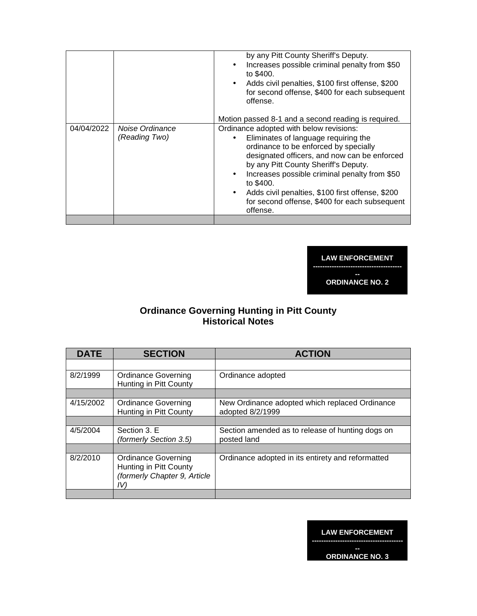| 04/04/2022<br>Ordinance adopted with below revisions:<br>Noise Ordinance<br>(Reading Two)<br>Eliminates of language requiring the<br>ordinance to be enforced by specially<br>by any Pitt County Sheriff's Deputy.<br>Increases possible criminal penalty from \$50<br>to \$400.<br>Adds civil penalties, \$100 first offense, \$200 |  | by any Pitt County Sheriff's Deputy.<br>Increases possible criminal penalty from \$50<br>to \$400.<br>Adds civil penalties, \$100 first offense, \$200<br>for second offense, \$400 for each subsequent<br>offense. |
|--------------------------------------------------------------------------------------------------------------------------------------------------------------------------------------------------------------------------------------------------------------------------------------------------------------------------------------|--|---------------------------------------------------------------------------------------------------------------------------------------------------------------------------------------------------------------------|
| offense.                                                                                                                                                                                                                                                                                                                             |  | Motion passed 8-1 and a second reading is required.<br>designated officers, and now can be enforced<br>for second offense, \$400 for each subsequent                                                                |

#### **LAW ENFORCEMENT --------------------------------------**

**-- ORDINANCE NO. 2** 

#### **Ordinance Governing Hunting in Pitt County Historical Notes**

| <b>DATE</b> | <b>SECTION</b>                                                                              | <b>ACTION</b>                                                      |
|-------------|---------------------------------------------------------------------------------------------|--------------------------------------------------------------------|
|             |                                                                                             |                                                                    |
| 8/2/1999    | <b>Ordinance Governing</b><br>Hunting in Pitt County                                        | Ordinance adopted                                                  |
|             |                                                                                             |                                                                    |
| 4/15/2002   | Ordinance Governing<br>Hunting in Pitt County                                               | New Ordinance adopted which replaced Ordinance<br>adopted 8/2/1999 |
|             |                                                                                             |                                                                    |
| 4/5/2004    | Section 3. E<br>(formerly Section 3.5)                                                      | Section amended as to release of hunting dogs on<br>posted land    |
|             |                                                                                             |                                                                    |
| 8/2/2010    | <b>Ordinance Governing</b><br>Hunting in Pitt County<br>(formerly Chapter 9, Article<br>IV) | Ordinance adopted in its entirety and reformatted                  |
|             |                                                                                             |                                                                    |

#### **LAW ENFORCEMENT ---------------------------------------**

**-- ORDINANCE NO. 3**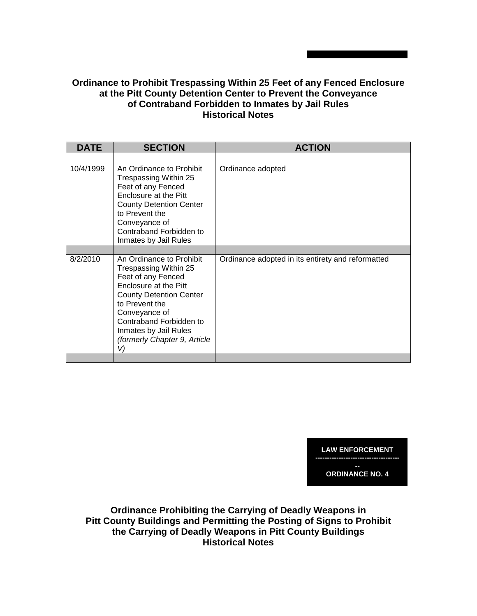# **Ordinance to Prohibit Trespassing Within 25 Feet of any Fenced Enclosure at the Pitt County Detention Center to Prevent the Conveyance of Contraband Forbidden to Inmates by Jail Rules Historical Notes**

| <b>DATE</b> | <b>SECTION</b>                                                                                                                                                                                                                                                  | <b>ACTION</b>                                     |
|-------------|-----------------------------------------------------------------------------------------------------------------------------------------------------------------------------------------------------------------------------------------------------------------|---------------------------------------------------|
|             |                                                                                                                                                                                                                                                                 |                                                   |
| 10/4/1999   | An Ordinance to Prohibit<br>Trespassing Within 25<br>Feet of any Fenced<br>Enclosure at the Pitt<br><b>County Detention Center</b><br>to Prevent the<br>Conveyance of<br>Contraband Forbidden to<br>Inmates by Jail Rules                                       | Ordinance adopted                                 |
|             |                                                                                                                                                                                                                                                                 |                                                   |
| 8/2/2010    | An Ordinance to Prohibit<br>Trespassing Within 25<br>Feet of any Fenced<br>Enclosure at the Pitt<br><b>County Detention Center</b><br>to Prevent the<br>Conveyance of<br>Contraband Forbidden to<br>Inmates by Jail Rules<br>(formerly Chapter 9, Article<br>V) | Ordinance adopted in its entirety and reformatted |
|             |                                                                                                                                                                                                                                                                 |                                                   |

**LAW ENFORCEMENT ------------------------------------** 

**-- ORDINANCE NO. 4** 

**Ordinance Prohibiting the Carrying of Deadly Weapons in Pitt County Buildings and Permitting the Posting of Signs to Prohibit the Carrying of Deadly Weapons in Pitt County Buildings Historical Notes**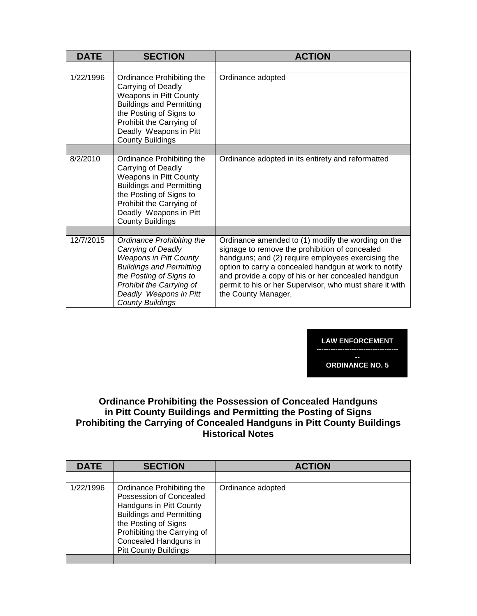| <b>DATE</b> | <b>SECTION</b>                                                                                                                                                                                                                  | <b>ACTION</b>                                                                                                                                                                                                                                                                                                                                               |
|-------------|---------------------------------------------------------------------------------------------------------------------------------------------------------------------------------------------------------------------------------|-------------------------------------------------------------------------------------------------------------------------------------------------------------------------------------------------------------------------------------------------------------------------------------------------------------------------------------------------------------|
|             |                                                                                                                                                                                                                                 |                                                                                                                                                                                                                                                                                                                                                             |
| 1/22/1996   | Ordinance Prohibiting the<br>Carrying of Deadly<br>Weapons in Pitt County<br><b>Buildings and Permitting</b><br>the Posting of Signs to<br>Prohibit the Carrying of<br>Deadly Weapons in Pitt<br><b>County Buildings</b>        | Ordinance adopted                                                                                                                                                                                                                                                                                                                                           |
|             |                                                                                                                                                                                                                                 |                                                                                                                                                                                                                                                                                                                                                             |
| 8/2/2010    | Ordinance Prohibiting the<br>Carrying of Deadly<br><b>Weapons in Pitt County</b><br><b>Buildings and Permitting</b><br>the Posting of Signs to<br>Prohibit the Carrying of<br>Deadly Weapons in Pitt<br><b>County Buildings</b> | Ordinance adopted in its entirety and reformatted                                                                                                                                                                                                                                                                                                           |
|             |                                                                                                                                                                                                                                 |                                                                                                                                                                                                                                                                                                                                                             |
| 12/7/2015   | Ordinance Prohibiting the<br>Carrying of Deadly<br><b>Weapons in Pitt County</b><br><b>Buildings and Permitting</b><br>the Posting of Signs to<br>Prohibit the Carrying of<br>Deadly Weapons in Pitt<br><b>County Buildings</b> | Ordinance amended to (1) modify the wording on the<br>signage to remove the prohibition of concealed<br>handguns; and (2) require employees exercising the<br>option to carry a concealed handgun at work to notify<br>and provide a copy of his or her concealed handgun<br>permit to his or her Supervisor, who must share it with<br>the County Manager. |

#### **LAW ENFORCEMENT -----------------------------------**

**-- ORDINANCE NO. 5** 

# **Ordinance Prohibiting the Possession of Concealed Handguns in Pitt County Buildings and Permitting the Posting of Signs Prohibiting the Carrying of Concealed Handguns in Pitt County Buildings Historical Notes**

| <b>DATE</b> | <b>SECTION</b>                                                                                                                                                                                                                     | <b>ACTION</b>     |
|-------------|------------------------------------------------------------------------------------------------------------------------------------------------------------------------------------------------------------------------------------|-------------------|
|             |                                                                                                                                                                                                                                    |                   |
| 1/22/1996   | Ordinance Prohibiting the<br>Possession of Concealed<br>Handguns in Pitt County<br><b>Buildings and Permitting</b><br>the Posting of Signs<br>Prohibiting the Carrying of<br>Concealed Handguns in<br><b>Pitt County Buildings</b> | Ordinance adopted |
|             |                                                                                                                                                                                                                                    |                   |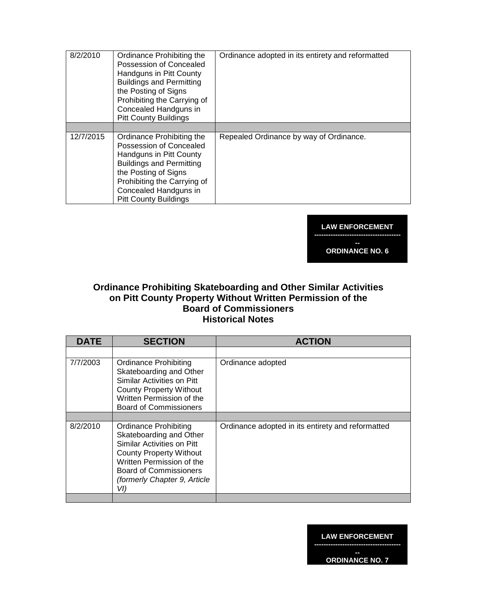| 8/2/2010  | Ordinance Prohibiting the<br>Possession of Concealed<br>Handguns in Pitt County<br><b>Buildings and Permitting</b><br>the Posting of Signs<br>Prohibiting the Carrying of<br>Concealed Handguns in<br><b>Pitt County Buildings</b> | Ordinance adopted in its entirety and reformatted |
|-----------|------------------------------------------------------------------------------------------------------------------------------------------------------------------------------------------------------------------------------------|---------------------------------------------------|
|           |                                                                                                                                                                                                                                    |                                                   |
| 12/7/2015 | Ordinance Prohibiting the<br>Possession of Concealed<br>Handguns in Pitt County<br><b>Buildings and Permitting</b><br>the Posting of Signs<br>Prohibiting the Carrying of<br>Concealed Handguns in<br><b>Pitt County Buildings</b> | Repealed Ordinance by way of Ordinance.           |

**LAW ENFORCEMENT -------------------------------------** 

> **-- ORDINANCE NO. 6**

# **Ordinance Prohibiting Skateboarding and Other Similar Activities on Pitt County Property Without Written Permission of the Board of Commissioners Historical Notes**

| <b>DATE</b> | <b>SECTION</b>                                                                                                                                                                                                               | <b>ACTION</b>                                     |
|-------------|------------------------------------------------------------------------------------------------------------------------------------------------------------------------------------------------------------------------------|---------------------------------------------------|
|             |                                                                                                                                                                                                                              |                                                   |
| 7/7/2003    | <b>Ordinance Prohibiting</b><br>Skateboarding and Other<br>Similar Activities on Pitt<br><b>County Property Without</b><br>Written Permission of the<br><b>Board of Commissioners</b>                                        | Ordinance adopted                                 |
|             |                                                                                                                                                                                                                              |                                                   |
| 8/2/2010    | <b>Ordinance Prohibiting</b><br>Skateboarding and Other<br>Similar Activities on Pitt<br><b>County Property Without</b><br>Written Permission of the<br><b>Board of Commissioners</b><br>(formerly Chapter 9, Article<br>VI) | Ordinance adopted in its entirety and reformatted |
|             |                                                                                                                                                                                                                              |                                                   |

**LAW ENFORCEMENT** 

**------------------------------------- --** 

**ORDINANCE NO. 7**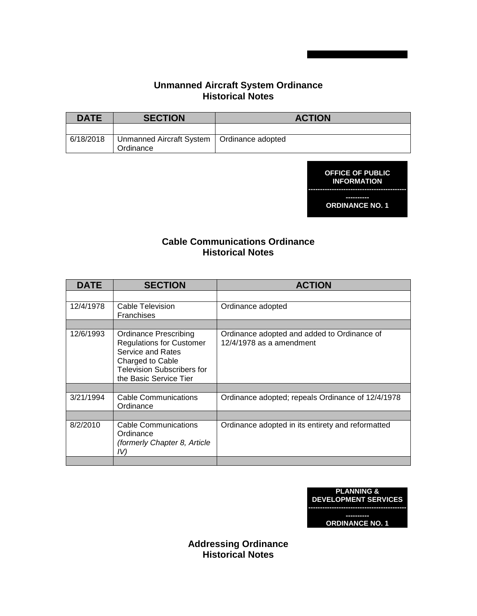### **Unmanned Aircraft System Ordinance Historical Notes**

| <b>DATE</b> | <b>SECTION</b>                                            | <b>ACTION</b> |
|-------------|-----------------------------------------------------------|---------------|
|             |                                                           |               |
| 6/18/2018   | Unmanned Aircraft System   Ordinance adopted<br>Ordinance |               |



# **Cable Communications Ordinance Historical Notes**

| <b>DATE</b> | <b>SECTION</b>                                                                                                                                                          | <b>ACTION</b>                                                           |
|-------------|-------------------------------------------------------------------------------------------------------------------------------------------------------------------------|-------------------------------------------------------------------------|
|             |                                                                                                                                                                         |                                                                         |
| 12/4/1978   | Cable Television<br><b>Franchises</b>                                                                                                                                   | Ordinance adopted                                                       |
|             |                                                                                                                                                                         |                                                                         |
| 12/6/1993   | <b>Ordinance Prescribing</b><br><b>Regulations for Customer</b><br>Service and Rates<br>Charged to Cable<br><b>Television Subscribers for</b><br>the Basic Service Tier | Ordinance adopted and added to Ordinance of<br>12/4/1978 as a amendment |
|             |                                                                                                                                                                         |                                                                         |
| 3/21/1994   | Cable Communications<br>Ordinance                                                                                                                                       | Ordinance adopted; repeals Ordinance of 12/4/1978                       |
|             |                                                                                                                                                                         |                                                                         |
| 8/2/2010    | <b>Cable Communications</b><br>Ordinance<br>(formerly Chapter 8, Article<br>IV)                                                                                         | Ordinance adopted in its entirety and reformatted                       |
|             |                                                                                                                                                                         |                                                                         |

| <b>PLANNING &amp;</b>       |
|-----------------------------|
| <b>DEVELOPMENT SERVICES</b> |
| -----------                 |

**ORDINANCE NO. 1** 

**Addressing Ordinance Historical Notes**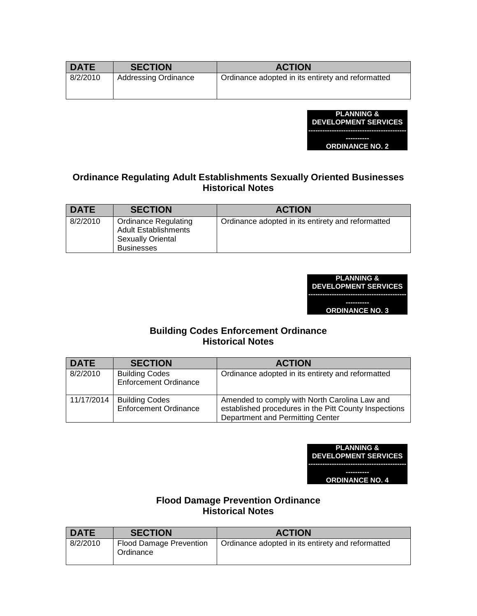| <b>DATE</b> | <b>SECTION</b>              | <b>ACTION</b>                                     |
|-------------|-----------------------------|---------------------------------------------------|
| 8/2/2010    | <b>Addressing Ordinance</b> | Ordinance adopted in its entirety and reformatted |



# **Ordinance Regulating Adult Establishments Sexually Oriented Businesses Historical Notes**

| <b>DATE</b> | <b>SECTION</b>                                                                                              | <b>ACTION</b>                                     |
|-------------|-------------------------------------------------------------------------------------------------------------|---------------------------------------------------|
| 8/2/2010    | <b>Ordinance Regulating</b><br><b>Adult Establishments</b><br><b>Sexually Oriental</b><br><b>Businesses</b> | Ordinance adopted in its entirety and reformatted |



# **Building Codes Enforcement Ordinance Historical Notes**

| <b>DATE</b> | <b>SECTION</b>                                        | <b>ACTION</b>                                                                                                                              |
|-------------|-------------------------------------------------------|--------------------------------------------------------------------------------------------------------------------------------------------|
| 8/2/2010    | <b>Building Codes</b><br><b>Enforcement Ordinance</b> | Ordinance adopted in its entirety and reformatted                                                                                          |
| 11/17/2014  | <b>Building Codes</b><br><b>Enforcement Ordinance</b> | Amended to comply with North Carolina Law and<br>established procedures in the Pitt County Inspections<br>Department and Permitting Center |

| <b>PLANNING &amp;</b>       |
|-----------------------------|
| <b>DEVELOPMENT SERVICES</b> |
|                             |
| -----------                 |
| <b>ORDINANCE NO. 4</b>      |
|                             |

# **Flood Damage Prevention Ordinance Historical Notes**

| <b>DATE</b> | <b>SECTION</b>                       | <b>ACTION</b>                                     |
|-------------|--------------------------------------|---------------------------------------------------|
| 8/2/2010    | Flood Damage Prevention<br>Ordinance | Ordinance adopted in its entirety and reformatted |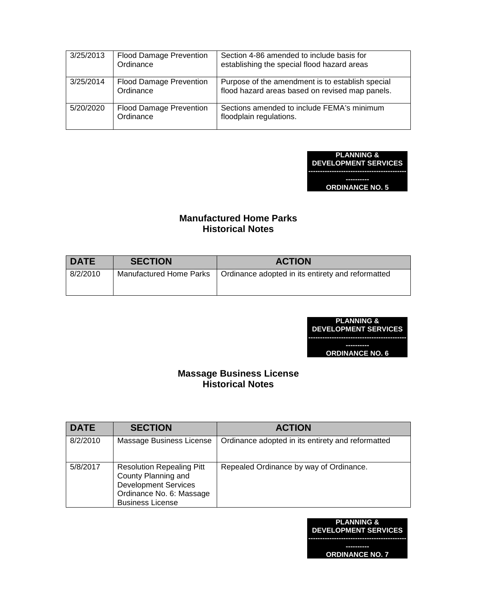| 3/25/2013 | <b>Flood Damage Prevention</b><br>Ordinance | Section 4-86 amended to include basis for<br>establishing the special flood hazard areas            |
|-----------|---------------------------------------------|-----------------------------------------------------------------------------------------------------|
| 3/25/2014 | <b>Flood Damage Prevention</b><br>Ordinance | Purpose of the amendment is to establish special<br>flood hazard areas based on revised map panels. |
| 5/20/2020 | <b>Flood Damage Prevention</b><br>Ordinance | Sections amended to include FEMA's minimum<br>floodplain regulations.                               |

#### **PLANNING & DEVELOPMENT SERVICES ------------------------------------------**

**---------- ORDINANCE NO. 5** 

# **Manufactured Home Parks Historical Notes**

| <b>DATE</b> | <b>SECTION</b> | <b>ACTION</b>                                                               |
|-------------|----------------|-----------------------------------------------------------------------------|
| 8/2/2010    |                | Manufactured Home Parks   Ordinance adopted in its entirety and reformatted |

**PLANNING & DEVELOPMENT SERVICES ------------------------------------------**

> **---------- ORDINANCE NO. 6**

### **Massage Business License Historical Notes**

| <b>DATE</b> | <b>SECTION</b>                                                                                                                                | <b>ACTION</b>                                     |
|-------------|-----------------------------------------------------------------------------------------------------------------------------------------------|---------------------------------------------------|
| 8/2/2010    | Massage Business License                                                                                                                      | Ordinance adopted in its entirety and reformatted |
| 5/8/2017    | <b>Resolution Repealing Pitt</b><br>County Planning and<br><b>Development Services</b><br>Ordinance No. 6: Massage<br><b>Business License</b> | Repealed Ordinance by way of Ordinance.           |

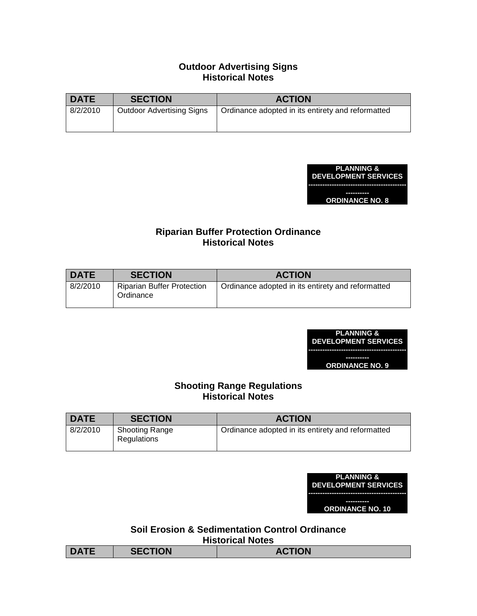## **Outdoor Advertising Signs Historical Notes**

| <b>DATE</b> | <b>SECTION</b>                   | <b>ACTION</b>                                     |
|-------------|----------------------------------|---------------------------------------------------|
| 8/2/2010    | <b>Outdoor Advertising Signs</b> | Ordinance adopted in its entirety and reformatted |



# **Riparian Buffer Protection Ordinance Historical Notes**

| <b>DATE</b> | <b>SECTION</b>                                 | <b>ACTION</b>                                     |
|-------------|------------------------------------------------|---------------------------------------------------|
| 8/2/2010    | <b>Riparian Buffer Protection</b><br>Ordinance | Ordinance adopted in its entirety and reformatted |

**PLANNING & DEVELOPMENT SERVICES ------------------------------------------**

> **---------- ORDINANCE NO. 9**

# **Shooting Range Regulations Historical Notes**

| <b>DATE</b> | <b>SECTION</b>                       | <b>ACTION</b>                                     |
|-------------|--------------------------------------|---------------------------------------------------|
| 8/2/2010    | <b>Shooting Range</b><br>Regulations | Ordinance adopted in its entirety and reformatted |

| <b>PLANNING &amp;</b><br><b>DEVELOPMENT SERVICES</b> |  |
|------------------------------------------------------|--|
|                                                      |  |
|                                                      |  |

**---------- ORDINANCE NO. 10** 

**Soil Erosion & Sedimentation Control Ordinance Historical Notes** 

| ----------------                                   |  |
|----------------------------------------------------|--|
| <b>SECTION</b><br><b>ACTION</b><br>יוטווטב<br>VATL |  |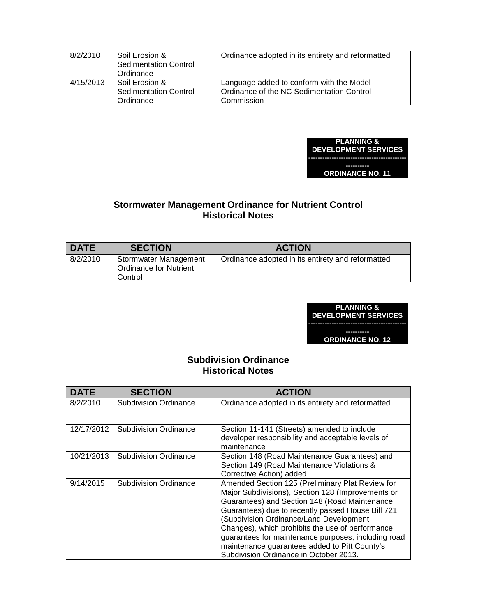| 8/2/2010  | Soil Erosion &<br><b>Sedimentation Control</b><br>Ordinance | Ordinance adopted in its entirety and reformatted                                                   |
|-----------|-------------------------------------------------------------|-----------------------------------------------------------------------------------------------------|
| 4/15/2013 | Soil Erosion &<br><b>Sedimentation Control</b><br>Ordinance | Language added to conform with the Model<br>Ordinance of the NC Sedimentation Control<br>Commission |



**ORDINANCE NO. 11** 

# **Stormwater Management Ordinance for Nutrient Control Historical Notes**

| <b>DATE</b> | <b>SECTION</b>                                                           | <b>ACTION</b>                                     |
|-------------|--------------------------------------------------------------------------|---------------------------------------------------|
| 8/2/2010    | <b>Stormwater Management</b><br><b>Ordinance for Nutrient</b><br>Control | Ordinance adopted in its entirety and reformatted |

**PLANNING & DEVELOPMENT SERVICES** 

**------------------------------------------ ---------- ORDINANCE NO. 12** 

#### **Subdivision Ordinance Historical Notes**

| <b>DATE</b> | <b>SECTION</b>               | <b>ACTION</b>                                                                                                                                                                                                                                                                                                                                                                                                                                                |
|-------------|------------------------------|--------------------------------------------------------------------------------------------------------------------------------------------------------------------------------------------------------------------------------------------------------------------------------------------------------------------------------------------------------------------------------------------------------------------------------------------------------------|
| 8/2/2010    | <b>Subdivision Ordinance</b> | Ordinance adopted in its entirety and reformatted                                                                                                                                                                                                                                                                                                                                                                                                            |
| 12/17/2012  | <b>Subdivision Ordinance</b> | Section 11-141 (Streets) amended to include<br>developer responsibility and acceptable levels of<br>maintenance                                                                                                                                                                                                                                                                                                                                              |
| 10/21/2013  | <b>Subdivision Ordinance</b> | Section 148 (Road Maintenance Guarantees) and<br>Section 149 (Road Maintenance Violations &<br>Corrective Action) added                                                                                                                                                                                                                                                                                                                                      |
| 9/14/2015   | <b>Subdivision Ordinance</b> | Amended Section 125 (Preliminary Plat Review for<br>Major Subdivisions), Section 128 (Improvements or<br>Guarantees) and Section 148 (Road Maintenance<br>Guarantees) due to recently passed House Bill 721<br>(Subdivision Ordinance/Land Development<br>Changes), which prohibits the use of performance<br>guarantees for maintenance purposes, including road<br>maintenance guarantees added to Pitt County's<br>Subdivision Ordinance in October 2013. |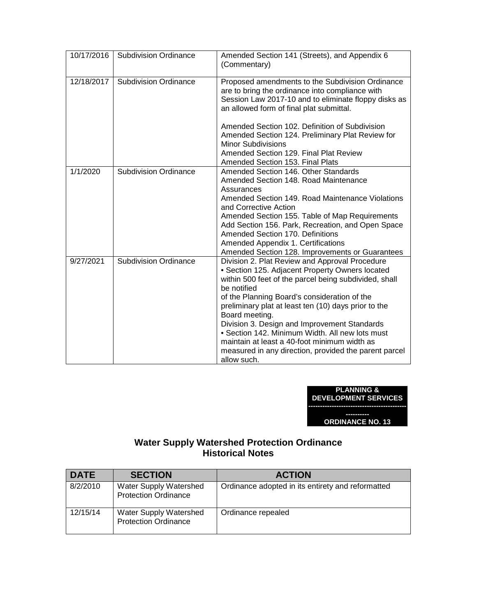| 10/17/2016 | <b>Subdivision Ordinance</b> | Amended Section 141 (Streets), and Appendix 6<br>(Commentary)                                                                                                                                                                                             |
|------------|------------------------------|-----------------------------------------------------------------------------------------------------------------------------------------------------------------------------------------------------------------------------------------------------------|
| 12/18/2017 | <b>Subdivision Ordinance</b> | Proposed amendments to the Subdivision Ordinance<br>are to bring the ordinance into compliance with<br>Session Law 2017-10 and to eliminate floppy disks as<br>an allowed form of final plat submittal.<br>Amended Section 102. Definition of Subdivision |
|            |                              | Amended Section 124. Preliminary Plat Review for<br><b>Minor Subdivisions</b>                                                                                                                                                                             |
|            |                              | Amended Section 129. Final Plat Review                                                                                                                                                                                                                    |
|            |                              | Amended Section 153. Final Plats                                                                                                                                                                                                                          |
| 1/1/2020   | <b>Subdivision Ordinance</b> | Amended Section 146. Other Standards                                                                                                                                                                                                                      |
|            |                              | Amended Section 148. Road Maintenance                                                                                                                                                                                                                     |
|            |                              | Assurances<br>Amended Section 149. Road Maintenance Violations                                                                                                                                                                                            |
|            |                              | and Corrective Action                                                                                                                                                                                                                                     |
|            |                              | Amended Section 155. Table of Map Requirements                                                                                                                                                                                                            |
|            |                              | Add Section 156. Park, Recreation, and Open Space                                                                                                                                                                                                         |
|            |                              | <b>Amended Section 170. Definitions</b>                                                                                                                                                                                                                   |
|            |                              | <b>Amended Appendix 1. Certifications</b>                                                                                                                                                                                                                 |
|            |                              | Amended Section 128. Improvements or Guarantees                                                                                                                                                                                                           |
| 9/27/2021  | <b>Subdivision Ordinance</b> | Division 2. Plat Review and Approval Procedure<br>· Section 125. Adjacent Property Owners located<br>within 500 feet of the parcel being subdivided, shall<br>be notified                                                                                 |
|            |                              | of the Planning Board's consideration of the<br>preliminary plat at least ten (10) days prior to the<br>Board meeting.                                                                                                                                    |
|            |                              | Division 3. Design and Improvement Standards<br>· Section 142. Minimum Width. All new lots must<br>maintain at least a 40-foot minimum width as<br>measured in any direction, provided the parent parcel<br>allow such.                                   |



## **Water Supply Watershed Protection Ordinance Historical Notes**

| <b>DATE</b> | <b>SECTION</b>                                        | <b>ACTION</b>                                     |
|-------------|-------------------------------------------------------|---------------------------------------------------|
| 8/2/2010    | Water Supply Watershed<br><b>Protection Ordinance</b> | Ordinance adopted in its entirety and reformatted |
| 12/15/14    | Water Supply Watershed<br><b>Protection Ordinance</b> | Ordinance repealed                                |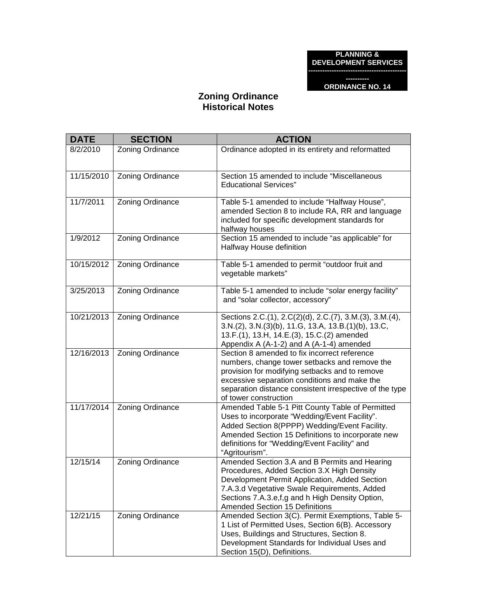**---------- ORDINANCE NO. 14** 

# **Zoning Ordinance Historical Notes**

| <b>DATE</b> | <b>SECTION</b>   | <b>ACTION</b>                                                                                                                                                                                                                                                                              |
|-------------|------------------|--------------------------------------------------------------------------------------------------------------------------------------------------------------------------------------------------------------------------------------------------------------------------------------------|
| 8/2/2010    | Zoning Ordinance | Ordinance adopted in its entirety and reformatted                                                                                                                                                                                                                                          |
| 11/15/2010  | Zoning Ordinance | Section 15 amended to include "Miscellaneous<br><b>Educational Services"</b>                                                                                                                                                                                                               |
| 11/7/2011   | Zoning Ordinance | Table 5-1 amended to include "Halfway House",<br>amended Section 8 to include RA, RR and language<br>included for specific development standards for<br>halfway houses                                                                                                                     |
| 1/9/2012    | Zoning Ordinance | Section 15 amended to include "as applicable" for<br>Halfway House definition                                                                                                                                                                                                              |
| 10/15/2012  | Zoning Ordinance | Table 5-1 amended to permit "outdoor fruit and<br>vegetable markets"                                                                                                                                                                                                                       |
| 3/25/2013   | Zoning Ordinance | Table 5-1 amended to include "solar energy facility"<br>and "solar collector, accessory"                                                                                                                                                                                                   |
| 10/21/2013  | Zoning Ordinance | Sections 2.C.(1), 2.C(2)(d), 2.C.(7), 3.M.(3), 3.M.(4),<br>3.N.(2), 3.N.(3)(b), 11.G, 13.A, 13.B.(1)(b), 13.C,<br>13.F.(1), 13.H, 14.E.(3), 15.C.(2) amended<br>Appendix A (A-1-2) and A (A-1-4) amended                                                                                   |
| 12/16/2013  | Zoning Ordinance | Section 8 amended to fix incorrect reference<br>numbers, change tower setbacks and remove the<br>provision for modifying setbacks and to remove<br>excessive separation conditions and make the<br>separation distance consistent irrespective of the type<br>of tower construction        |
| 11/17/2014  | Zoning Ordinance | Amended Table 5-1 Pitt County Table of Permitted<br>Uses to incorporate "Wedding/Event Facility".<br>Added Section 8(PPPP) Wedding/Event Facility.<br>Amended Section 15 Definitions to incorporate new<br>definitions for "Wedding/Event Facility" and<br>"Agritourism".                  |
| 12/15/14    | Zoning Ordinance | Amended Section 3.A and B Permits and Hearing<br>Procedures, Added Section 3.X High Density<br>Development Permit Application, Added Section<br>7.A.3.d Vegetative Swale Requirements, Added<br>Sections 7.A.3.e, f, g and h High Density Option,<br><b>Amended Section 15 Definitions</b> |
| 12/21/15    | Zoning Ordinance | Amended Section 3(C). Permit Exemptions, Table 5-<br>1 List of Permitted Uses, Section 6(B). Accessory<br>Uses, Buildings and Structures, Section 8.<br>Development Standards for Individual Uses and<br>Section 15(D), Definitions.                                                       |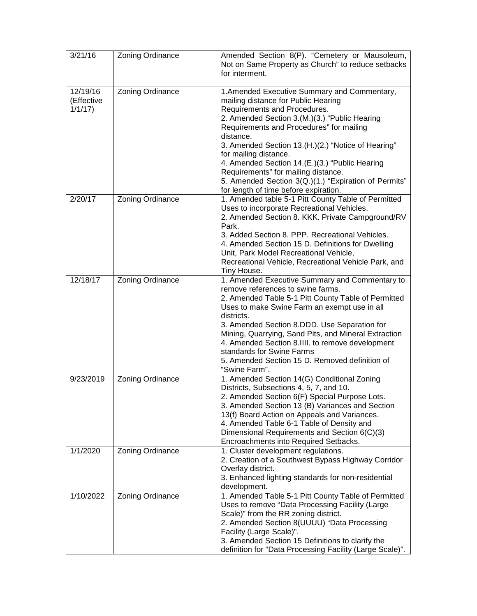| $\overline{3}/21/16$             | Zoning Ordinance | Amended Section 8(P). "Cemetery or Mausoleum,<br>Not on Same Property as Church" to reduce setbacks<br>for interment.                                                                                                                                                                                                                                                                                                                                                                                  |
|----------------------------------|------------------|--------------------------------------------------------------------------------------------------------------------------------------------------------------------------------------------------------------------------------------------------------------------------------------------------------------------------------------------------------------------------------------------------------------------------------------------------------------------------------------------------------|
| 12/19/16<br>(Effective<br>1/1/17 | Zoning Ordinance | 1. Amended Executive Summary and Commentary,<br>mailing distance for Public Hearing<br>Requirements and Procedures.<br>2. Amended Section 3.(M.)(3.) "Public Hearing<br>Requirements and Procedures" for mailing<br>distance.<br>3. Amended Section 13.(H.)(2.) "Notice of Hearing"<br>for mailing distance.<br>4. Amended Section 14.(E.)(3.) "Public Hearing<br>Requirements" for mailing distance.<br>5. Amended Section 3(Q.)(1.) "Expiration of Permits"<br>for length of time before expiration. |
| 2/20/17                          | Zoning Ordinance | 1. Amended table 5-1 Pitt County Table of Permitted<br>Uses to incorporate Recreational Vehicles.<br>2. Amended Section 8. KKK. Private Campground/RV<br>Park.<br>3. Added Section 8. PPP. Recreational Vehicles.<br>4. Amended Section 15 D. Definitions for Dwelling<br>Unit, Park Model Recreational Vehicle,<br>Recreational Vehicle, Recreational Vehicle Park, and<br>Tiny House.                                                                                                                |
| 12/18/17                         | Zoning Ordinance | 1. Amended Executive Summary and Commentary to<br>remove references to swine farms.<br>2. Amended Table 5-1 Pitt County Table of Permitted<br>Uses to make Swine Farm an exempt use in all<br>districts.<br>3. Amended Section 8.DDD. Use Separation for<br>Mining, Quarrying, Sand Pits, and Mineral Extraction<br>4. Amended Section 8.IIII. to remove development<br>standards for Swine Farms<br>5. Amended Section 15 D. Removed definition of<br>"Swine Farm".                                   |
| 9/23/2019                        | Zoning Ordinance | 1. Amended Section 14(G) Conditional Zoning<br>Districts, Subsections 4, 5, 7, and 10.<br>2. Amended Section 6(F) Special Purpose Lots.<br>3. Amended Section 13 (B) Variances and Section<br>13(f) Board Action on Appeals and Variances.<br>4. Amended Table 6-1 Table of Density and<br>Dimensional Requirements and Section 6(C)(3)<br>Encroachments into Required Setbacks.                                                                                                                       |
| 1/1/2020                         | Zoning Ordinance | 1. Cluster development regulations.<br>2. Creation of a Southwest Bypass Highway Corridor<br>Overlay district.<br>3. Enhanced lighting standards for non-residential<br>development.                                                                                                                                                                                                                                                                                                                   |
| 1/10/2022                        | Zoning Ordinance | 1. Amended Table 5-1 Pitt County Table of Permitted<br>Uses to remove "Data Processing Facility (Large<br>Scale)" from the RR zoning district.<br>2. Amended Section 8(UUUU) "Data Processing<br>Facility (Large Scale)".<br>3. Amended Section 15 Definitions to clarify the<br>definition for "Data Processing Facility (Large Scale)".                                                                                                                                                              |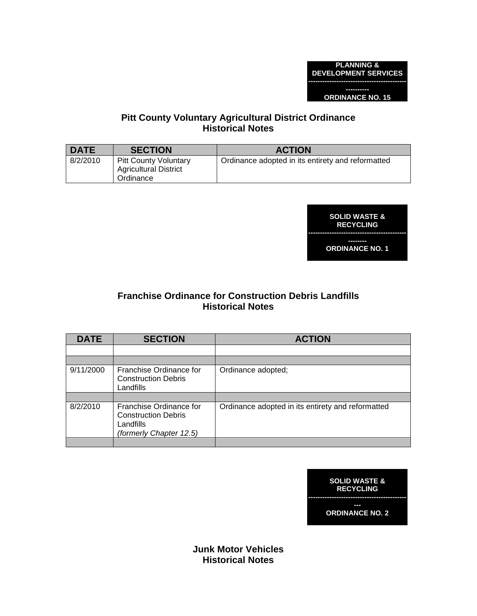

# **Pitt County Voluntary Agricultural District Ordinance Historical Notes**

| <b>DATE</b> | <b>SECTION</b>                                                            | <b>ACTION</b>                                     |
|-------------|---------------------------------------------------------------------------|---------------------------------------------------|
| 8/2/2010    | <b>Pitt County Voluntary</b><br><b>Agricultural District</b><br>Ordinance | Ordinance adopted in its entirety and reformatted |



# **Franchise Ordinance for Construction Debris Landfills Historical Notes**

| <b>DATE</b> | <b>SECTION</b>                                                                                | <b>ACTION</b>                                     |
|-------------|-----------------------------------------------------------------------------------------------|---------------------------------------------------|
|             |                                                                                               |                                                   |
|             |                                                                                               |                                                   |
| 9/11/2000   | Franchise Ordinance for<br><b>Construction Debris</b><br>Landfills                            | Ordinance adopted;                                |
|             |                                                                                               |                                                   |
| 8/2/2010    | Franchise Ordinance for<br><b>Construction Debris</b><br>Landfills<br>(formerly Chapter 12.5) | Ordinance adopted in its entirety and reformatted |
|             |                                                                                               |                                                   |

| <b>SOLID WASTE &amp;</b><br><b>RECYCLING</b>                  |  |
|---------------------------------------------------------------|--|
| -----------------------------<br>--<br><b>ORDINANCE NO. 2</b> |  |

**Junk Motor Vehicles Historical Notes**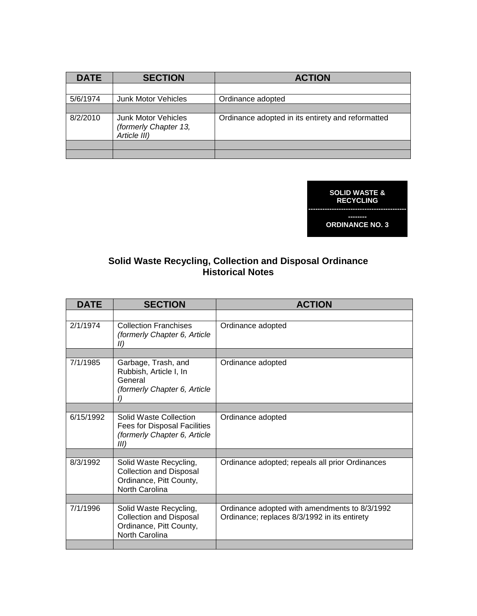| <b>DATE</b> | <b>SECTION</b>                                                      | <b>ACTION</b>                                     |
|-------------|---------------------------------------------------------------------|---------------------------------------------------|
|             |                                                                     |                                                   |
| 5/6/1974    | <b>Junk Motor Vehicles</b>                                          | Ordinance adopted                                 |
|             |                                                                     |                                                   |
| 8/2/2010    | <b>Junk Motor Vehicles</b><br>(formerly Chapter 13,<br>Article III) | Ordinance adopted in its entirety and reformatted |
|             |                                                                     |                                                   |
|             |                                                                     |                                                   |



**ORDINANCE NO. 3** 

# **Solid Waste Recycling, Collection and Disposal Ordinance Historical Notes**

| <b>DATE</b> | <b>SECTION</b>                                                                                               | <b>ACTION</b>                                                                                 |
|-------------|--------------------------------------------------------------------------------------------------------------|-----------------------------------------------------------------------------------------------|
|             |                                                                                                              |                                                                                               |
| 2/1/1974    | <b>Collection Franchises</b><br>(formerly Chapter 6, Article<br>II)                                          | Ordinance adopted                                                                             |
|             |                                                                                                              |                                                                                               |
| 7/1/1985    | Garbage, Trash, and<br>Rubbish, Article I, In<br>General<br>(formerly Chapter 6, Article                     | Ordinance adopted                                                                             |
|             |                                                                                                              |                                                                                               |
| 6/15/1992   | Solid Waste Collection<br><b>Fees for Disposal Facilities</b><br>(formerly Chapter 6, Article<br>III)        | Ordinance adopted                                                                             |
|             |                                                                                                              |                                                                                               |
| 8/3/1992    | Solid Waste Recycling,<br><b>Collection and Disposal</b><br>Ordinance, Pitt County,<br>North Carolina        | Ordinance adopted; repeals all prior Ordinances                                               |
|             |                                                                                                              |                                                                                               |
| 7/1/1996    | Solid Waste Recycling,<br><b>Collection and Disposal</b><br>Ordinance, Pitt County,<br><b>North Carolina</b> | Ordinance adopted with amendments to 8/3/1992<br>Ordinance; replaces 8/3/1992 in its entirety |
|             |                                                                                                              |                                                                                               |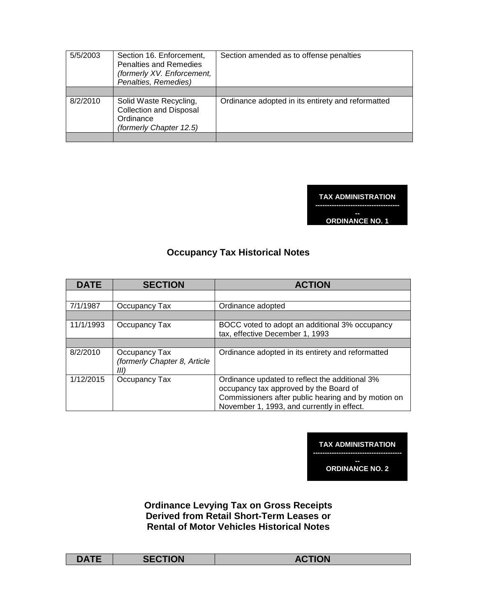| 5/5/2003 | Section 16. Enforcement,<br><b>Penalties and Remedies</b><br>(formerly XV. Enforcement,<br>Penalties, Remedies) | Section amended as to offense penalties           |
|----------|-----------------------------------------------------------------------------------------------------------------|---------------------------------------------------|
|          |                                                                                                                 |                                                   |
| 8/2/2010 | Solid Waste Recycling,<br><b>Collection and Disposal</b><br>Ordinance<br>(formerly Chapter 12.5)                | Ordinance adopted in its entirety and reformatted |
|          |                                                                                                                 |                                                   |

**TAX ADMINISTRATION ------------------------------------** 

**-- ORDINANCE NO. 1** 

# **Occupancy Tax Historical Notes**

| <b>DATE</b> | <b>SECTION</b>                                        | <b>ACTION</b>                                                                                                                                                                                 |
|-------------|-------------------------------------------------------|-----------------------------------------------------------------------------------------------------------------------------------------------------------------------------------------------|
|             |                                                       |                                                                                                                                                                                               |
| 7/1/1987    | Occupancy Tax                                         | Ordinance adopted                                                                                                                                                                             |
|             |                                                       |                                                                                                                                                                                               |
| 11/1/1993   | Occupancy Tax                                         | BOCC voted to adopt an additional 3% occupancy<br>tax, effective December 1, 1993                                                                                                             |
|             |                                                       |                                                                                                                                                                                               |
| 8/2/2010    | Occupancy Tax<br>(formerly Chapter 8, Article<br>III) | Ordinance adopted in its entirety and reformatted                                                                                                                                             |
| 1/12/2015   | Occupancy Tax                                         | Ordinance updated to reflect the additional 3%<br>occupancy tax approved by the Board of<br>Commissioners after public hearing and by motion on<br>November 1, 1993, and currently in effect. |

**TAX ADMINISTRATION --------------------------------------** 

> **-- ORDINANCE NO. 2**

**Ordinance Levying Tax on Gross Receipts Derived from Retail Short-Term Leases or Rental of Motor Vehicles Historical Notes** 

| <b>ECTION</b><br><b>ACTION</b><br>$\mathbf{A}$ in Fig.<br><i>.</i> |  |  |
|--------------------------------------------------------------------|--|--|
|                                                                    |  |  |